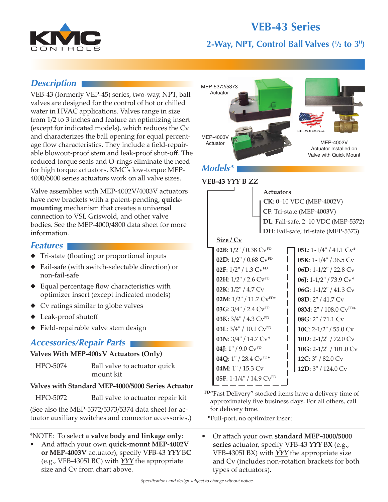

# **VEB-43 Series 2-Way, NPT, Control Ball Valves (1 ⁄2 to 3")**

# *Description*

VEB-43 (formerly VEP-45) series, two-way, NPT, ball valves are designed for the control of hot or chilled water in HVAC applications. Valves range in size from 1/2 to 3 inches and feature an optimizing insert (except for indicated models), which reduces the Cv and characterizes the ball opening for equal percentage flow characteristics. They include a field-repairable blowout-proof stem and leak-proof shut-off. The reduced torque seals and O-rings eliminate the need for high torque actuators. KMC's low-torque MEP-4000/5000 series actuators work on all valve sizes.

Valve assemblies with MEP-4002V/4003V actuators have new brackets with a patent-pending, **quickmounting** mechanism that creates a universal connection to VSI, Griswold, and other valve bodies. See the MEP-4000/4800 data sheet for more information.

#### *Features*

- ◆ Tri-state (floating) or proportional inputs
- ◆ Fail-safe (with switch-selectable direction) or non-fail-safe
- ◆ Equal percentage flow characteristics with optimizer insert (except indicated models)
- ◆ Cv ratings similar to globe valves
- ◆ Leak-proof shutoff
- ◆ Field-repairable valve stem design

# *Accessories/Repair Parts*

#### **Valves With MEP-400xV Actuators (Only)**

| HPO-5074 | Ball valve to actuator quick |
|----------|------------------------------|
|          | mount kit                    |

#### **Valves with Standard MEP-4000/5000 Series Actuator**

HPO-5072 Ball valve to actuator repair kit

(See also the MEP-5372/5373/5374 data sheet for actuator auxiliary switches and connector accessories.)

\*NOTE: To select a **valve body and linkage only**:

• And attach your own **quick-mount MEP-4002V or MEP-4003V** actuator), specify V**F**B-43 *YYY* B**C** (e.g., VFB-4305LBC) with *YYY* the appropriate size and Cv from chart above.





MEP-4002V Actuator Installed on Valve with Quick Mount

# *Models\**





#### **Actuators**

**CK**: 0–10 VDC (MEP-4002V) **CF**: Tri-state (MEP-4003V) **DL**: Fail-safe, 2–10 VDC (MEP-5372) **DH**: Fail-safe, tri-state (MEP-5373)

## **Size / Cv**

**02B**: 1/2" / 0.38 CvFD **02D**: 1/2" / 0.68 CvFD **02F**: 1/2" / 1.3 CvFD **02H**: 1/2" / 2.6 CvFD **02K**: 1/2" / 4.7 Cv **02M**: 1/2" / 11.7 CvFD\* **03G**: 3/4" / 2.4 CvFD **03K**: 3/4" / 4.3 CvFD **03L**: 3/4" / 10.1 CvFD **03N**: 3/4" / 14.7 Cv\* **04J**: 1" / 9.0 CvFD **04Q**: 1" / 28.4 CvFD\* **04M**: 1" / 15.3 Cv **05F**: 1-1/4" / 14.9 CvFD **05L**: 1-1/4" / 41.1 Cv\* **05K**: 1-1/4" / 36.5 Cv **06D**: 1-1/2" / 22.8 Cv **06J**: 1-1/2" / 73.9 Cv\* **06G**: 1-1/2" / 41.3 Cv **08D**: 2" / 41.7 Cv **08M**: 2" / 108.0 CvFD\* **08G**: 2" / 71.1 Cv **10C**: 2-1/2" / 55.0 Cv **10D**: 2-1/2" / 72.0 Cv **10G**: 2-1/2" / 101.0 Cv **12C**: 3" / 82.0 Cv **12D**: 3" / 124.0 Cv

**FD**"Fast Delivery" stocked items have a delivery time of approximately five business days. For all others, call for delivery time.

**\***Full-port, no optimizer insert

• Or attach your own **standard MEP-4000/5000 series** actuator, specify V**F**B-43 *YYY* B**X** (e.g., VFB-4305LBX) with *YYY* the appropriate size and Cv (includes non-rotation brackets for both types of actuators).